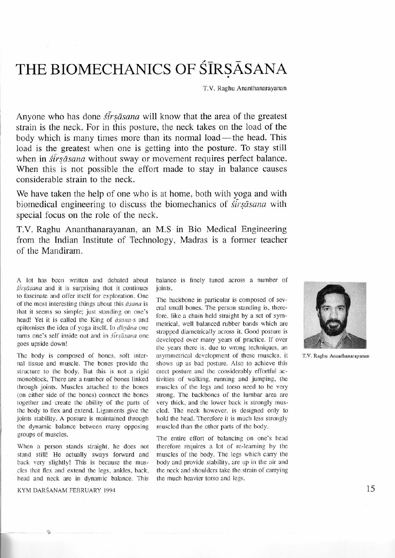## THE BIOMECHANICS OF SIRSASANA

T.V. Raghu Ananthanarayanan

Anyone who has done *str sasana* will know that the area of the greatest strain is the neck. For in this posture, the neck takes on the load of the body which is many times more than its normal load—the head. This load is the greatest when one is getting into the posture. To stay still when in *strsasana* without sway or movement requires perfect balance. When this is not possible the effort made to stay in balance causes considerable strain to the neck.

We have taken the help of one who is at home, both with yoga and with biomedical engineering to discuss the biomechanics of *sirsasana* with special focus on the role of the neck.

T.V. Raghu Ananthanarayanan, an M.S in Bio Medical Engineering from the Indian Institute of Technology, Madras is a former teacher of the Mandiram.

A lot has been written and debated about  $s\bar{i}rs\bar{a}s$  and it is surprising that it continues to fascinate and offer itself for exploration. One of the most interesting things about this  $\bar{a}$ sana is that it seems so simple; just standing on one's head! Yet it is called the King of āsana-s and epitomises the idea of yoga itself. In  $dh$ yana one turns one's self inside out and in sirsāsana one goes upside down!

The body is composed of bones, soft internal tissue and muscle. The bones provide the structure to the body. But this is not a rigid monoblock. There are a number of bones linked through joints. Muscles attached to the bones (on either side of the boncs) connccf the bones together and create the ability of the parts of the body to flex and extend. Ligaments give the joints stability. A posture is maintained through the dynamic balance between many opposing groups of muscles.

When a person stands straight, he does not stand still! He actually sways forward and back very slightly! This is because the muscles that flex and extend the legs, ankles, back, head and neck are in dynamic balance. This

KYM DARŚANAM FEBRUARY 1994

TE

balance is finely tuned across a number of joints.

The backbone in particular is composed of several small bones. The person standing is, therefore, like a chain held straight by a set of symmetrical, well balanced rubber bands which are strapped diametrically across it. Good posture is developed over many years of practice. If over the years there is, due to wrong techniques, an asymmetrical development of these muscles, it shows up as bad posture. Also to achieve this erect posture and the considerably effortful activities of walking, running and jumping, the muscles of the legs and torso need to be very strong. The backbones of the lumbar area are very thick, and the lower back is strongly muscled. The neck however, is designed only to hold the head. Therefore it is much less strongly muscled than the other parts of the body.

The entire effort of balancing on one's head therefore requires a lot of re-learning by the muscles of the body. The legs which carry the body and provide stability, are up in the air and the neck and shoulders take the strain of carrying the much heavier torso and legs.



T.V. Raghu Ananthanarayanan